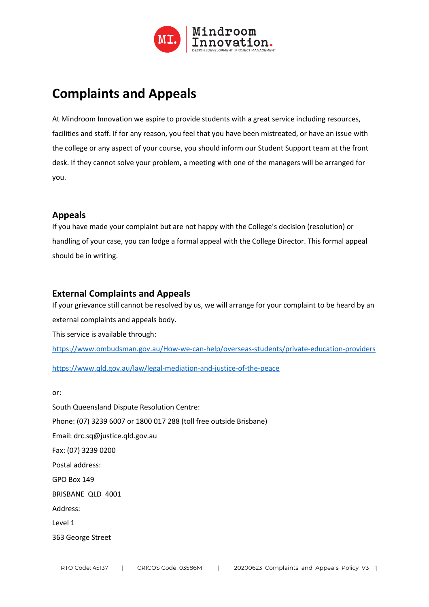

# **Complaints and Appeals**

At Mindroom Innovation we aspire to provide students with a great service including resources, facilities and staff. If for any reason, you feel that you have been mistreated, or have an issue with the college or any aspect of your course, you should inform our Student Support team at the front desk. If they cannot solve your problem, a meeting with one of the managers will be arranged for you.

## **Appeals**

If you have made your complaint but are not happy with the College's decision (resolution) or handling of your case, you can lodge a formal appeal with the College Director. This formal appeal should be in writing.

## **External Complaints and Appeals**

If your grievance still cannot be resolved by us, we will arrange for your complaint to be heard by an external complaints and appeals body. This service is available through: https://www.ombudsman.gov.au/How-we-can-help/overseas-students/private-education-providers

https://www.qld.gov.au/law/legal-mediation-and-justice-of-the-peace

or:

South Queensland Dispute Resolution Centre: Phone: (07) 3239 6007 or 1800 017 288 (toll free outside Brisbane) Email: drc.sq@justice.qld.gov.au Fax: (07) 3239 0200 Postal address: GPO Box 149 BRISBANE QLD 4001 Address: Level 1 363 George Street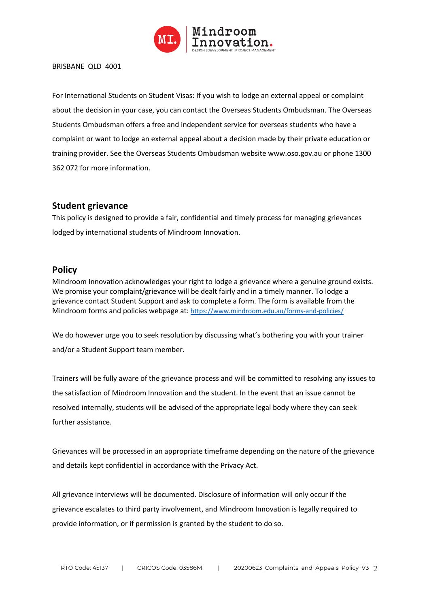

#### BRISBANE QLD 4001

For International Students on Student Visas: If you wish to lodge an external appeal or complaint about the decision in your case, you can contact the Overseas Students Ombudsman. The Overseas Students Ombudsman offers a free and independent service for overseas students who have a complaint or want to lodge an external appeal about a decision made by their private education or training provider. See the Overseas Students Ombudsman website www.oso.gov.au or phone 1300 362 072 for more information.

### **Student grievance**

This policy is designed to provide a fair, confidential and timely process for managing grievances lodged by international students of Mindroom Innovation.

#### **Policy**

Mindroom Innovation acknowledges your right to lodge a grievance where a genuine ground exists. We promise your complaint/grievance will be dealt fairly and in a timely manner. To lodge a grievance contact Student Support and ask to complete a form. The form is available from the Mindroom forms and policies webpage at: https://www.mindroom.edu.au/forms-and-policies/

We do however urge you to seek resolution by discussing what's bothering you with your trainer and/or a Student Support team member.

Trainers will be fully aware of the grievance process and will be committed to resolving any issues to the satisfaction of Mindroom Innovation and the student. In the event that an issue cannot be resolved internally, students will be advised of the appropriate legal body where they can seek further assistance.

Grievances will be processed in an appropriate timeframe depending on the nature of the grievance and details kept confidential in accordance with the Privacy Act.

All grievance interviews will be documented. Disclosure of information will only occur if the grievance escalates to third party involvement, and Mindroom Innovation is legally required to provide information, or if permission is granted by the student to do so.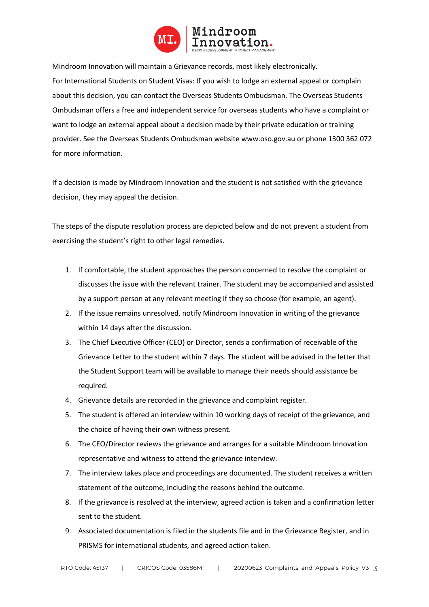

Mindroom Innovation will maintain a Grievance records, most likely electronically. For International Students on Student Visas: If you wish to lodge an external appeal or complain about this decision, you can contact the Overseas Students Ombudsman. The Overseas Students Ombudsman offers a free and independent service for overseas students who have a complaint or want to lodge an external appeal about a decision made by their private education or training provider. See the Overseas Students Ombudsman website www.oso.gov.au or phone 1300 362 072 for more information.

If a decision is made by Mindroom Innovation and the student is not satisfied with the grievance decision, they may appeal the decision.

The steps of the dispute resolution process are depicted below and do not prevent a student from exercising the student's right to other legal remedies.

- 1. If comfortable, the student approaches the person concerned to resolve the complaint or discusses the issue with the relevant trainer. The student may be accompanied and assisted by a support person at any relevant meeting if they so choose (for example, an agent).
- 2. If the issue remains unresolved, notify Mindroom Innovation in writing of the grievance within 14 days after the discussion.
- 3. The Chief Executive Officer (CEO) or Director, sends a confirmation of receivable of the Grievance Letter to the student within 7 days. The student will be advised in the letter that the Student Support team will be available to manage their needs should assistance be required.
- 4. Grievance details are recorded in the grievance and complaint register.
- 5. The student is offered an interview within 10 working days of receipt of the grievance, and the choice of having their own witness present.
- 6. The CEO/Director reviews the grievance and arranges for a suitable Mindroom Innovation representative and witness to attend the grievance interview.
- 7. The interview takes place and proceedings are documented. The student receives a written statement of the outcome, including the reasons behind the outcome.
- 8. If the grievance is resolved at the interview, agreed action is taken and a confirmation letter sent to the student.
- 9. Associated documentation is filed in the students file and in the Grievance Register, and in PRISMS for international students, and agreed action taken.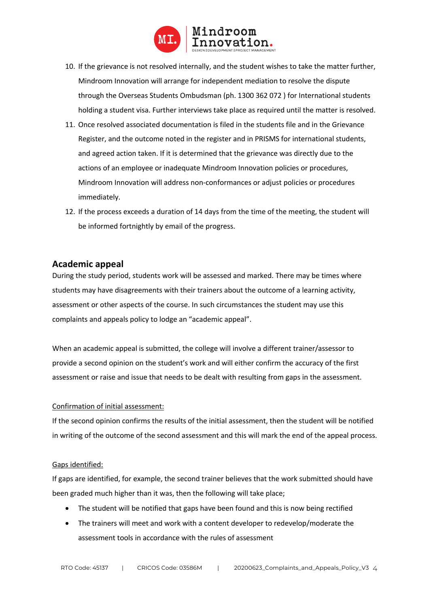

- 10. If the grievance is not resolved internally, and the student wishes to take the matter further, Mindroom Innovation will arrange for independent mediation to resolve the dispute through the Overseas Students Ombudsman (ph. 1300 362 072 ) for International students holding a student visa. Further interviews take place as required until the matter is resolved.
- 11. Once resolved associated documentation is filed in the students file and in the Grievance Register, and the outcome noted in the register and in PRISMS for international students, and agreed action taken. If it is determined that the grievance was directly due to the actions of an employee or inadequate Mindroom Innovation policies or procedures, Mindroom Innovation will address non-conformances or adjust policies or procedures immediately.
- 12. If the process exceeds a duration of 14 days from the time of the meeting, the student will be informed fortnightly by email of the progress.

## **Academic appeal**

During the study period, students work will be assessed and marked. There may be times where students may have disagreements with their trainers about the outcome of a learning activity, assessment or other aspects of the course. In such circumstances the student may use this complaints and appeals policy to lodge an "academic appeal".

When an academic appeal is submitted, the college will involve a different trainer/assessor to provide a second opinion on the student's work and will either confirm the accuracy of the first assessment or raise and issue that needs to be dealt with resulting from gaps in the assessment.

#### Confirmation of initial assessment:

If the second opinion confirms the results of the initial assessment, then the student will be notified in writing of the outcome of the second assessment and this will mark the end of the appeal process.

#### Gaps identified:

If gaps are identified, for example, the second trainer believes that the work submitted should have been graded much higher than it was, then the following will take place;

- The student will be notified that gaps have been found and this is now being rectified
- The trainers will meet and work with a content developer to redevelop/moderate the assessment tools in accordance with the rules of assessment